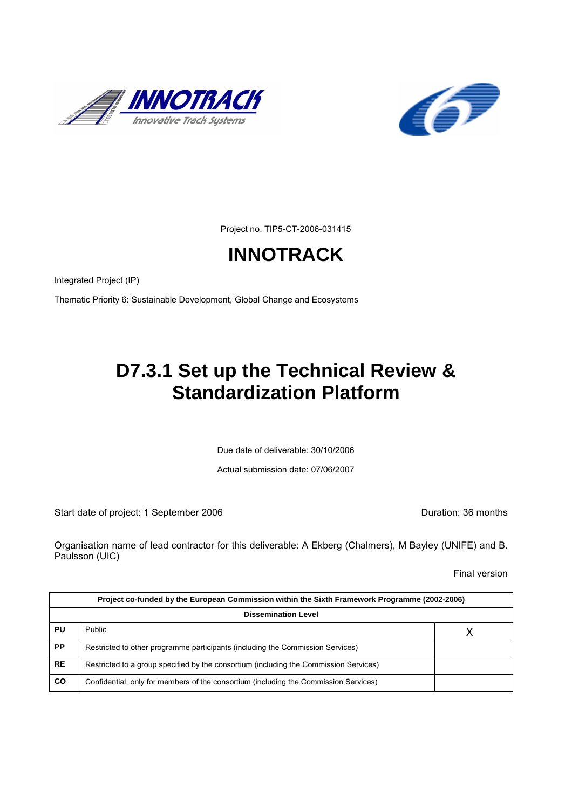



Project no. TIP5-CT-2006-031415

# **INNOTRACK**

Integrated Project (IP)

Thematic Priority 6: Sustainable Development, Global Change and Ecosystems

## **D7.3.1 Set up the Technical Review & Standardization Platform**

Due date of deliverable: 30/10/2006

Actual submission date: 07/06/2007

Start date of project: 1 September 2006 **Duration: 36 months** 

Organisation name of lead contractor for this deliverable: A Ekberg (Chalmers), M Bayley (UNIFE) and B. Paulsson (UIC)

Final version

|                            | Project co-funded by the European Commission within the Sixth Framework Programme (2002-2006) |  |  |  |  |  |  |  |  |  |  |
|----------------------------|-----------------------------------------------------------------------------------------------|--|--|--|--|--|--|--|--|--|--|
| <b>Dissemination Level</b> |                                                                                               |  |  |  |  |  |  |  |  |  |  |
| PU                         | <b>Public</b>                                                                                 |  |  |  |  |  |  |  |  |  |  |
| <b>PP</b>                  | Restricted to other programme participants (including the Commission Services)                |  |  |  |  |  |  |  |  |  |  |
| <b>RE</b>                  | Restricted to a group specified by the consortium (including the Commission Services)         |  |  |  |  |  |  |  |  |  |  |
| <b>CO</b>                  | Confidential, only for members of the consortium (including the Commission Services)          |  |  |  |  |  |  |  |  |  |  |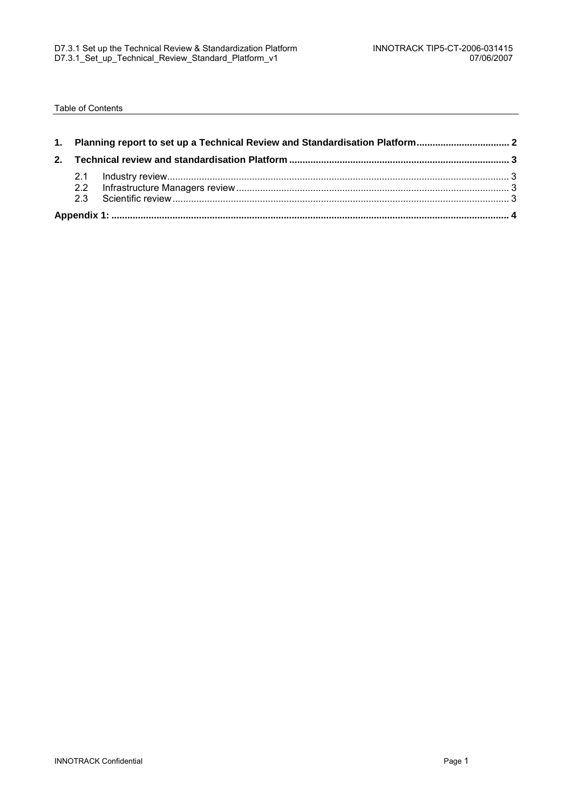Table of Contents

| 1. Planning report to set up a Technical Review and Standardisation Platform |  |  |  |  |  |  |  |  |  |  |
|------------------------------------------------------------------------------|--|--|--|--|--|--|--|--|--|--|
|                                                                              |  |  |  |  |  |  |  |  |  |  |
|                                                                              |  |  |  |  |  |  |  |  |  |  |
|                                                                              |  |  |  |  |  |  |  |  |  |  |
|                                                                              |  |  |  |  |  |  |  |  |  |  |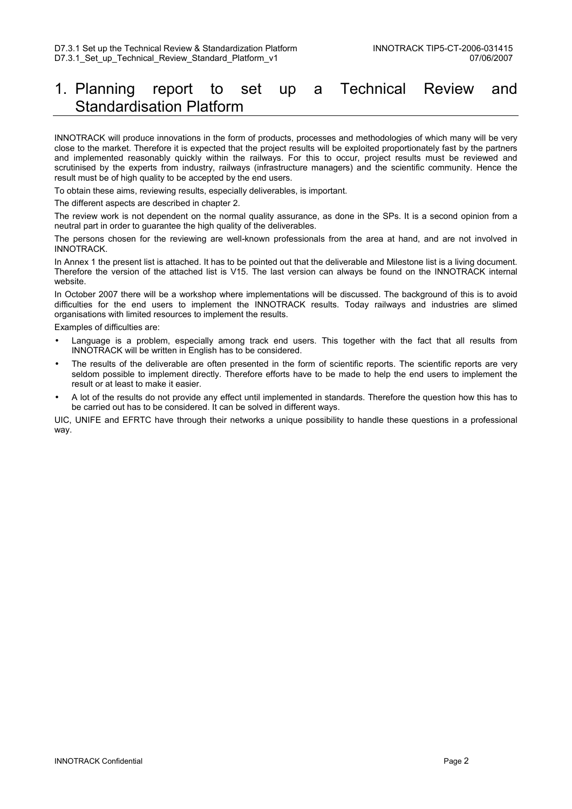### 1. Planning report to set up a Technical Review and Standardisation Platform

INNOTRACK will produce innovations in the form of products, processes and methodologies of which many will be very close to the market. Therefore it is expected that the project results will be exploited proportionately fast by the partners and implemented reasonably quickly within the railways. For this to occur, project results must be reviewed and scrutinised by the experts from industry, railways (infrastructure managers) and the scientific community. Hence the result must be of high quality to be accepted by the end users.

To obtain these aims, reviewing results, especially deliverables, is important.

The different aspects are described in chapter 2.

The review work is not dependent on the normal quality assurance, as done in the SPs. It is a second opinion from a neutral part in order to guarantee the high quality of the deliverables.

The persons chosen for the reviewing are well-known professionals from the area at hand, and are not involved in INNOTRACK.

In Annex 1 the present list is attached. It has to be pointed out that the deliverable and Milestone list is a living document. Therefore the version of the attached list is V15. The last version can always be found on the INNOTRACK internal website.

In October 2007 there will be a workshop where implementations will be discussed. The background of this is to avoid difficulties for the end users to implement the INNOTRACK results. Today railways and industries are slimed organisations with limited resources to implement the results.

Examples of difficulties are:

- Language is a problem, especially among track end users. This together with the fact that all results from INNOTRACK will be written in English has to be considered.
- The results of the deliverable are often presented in the form of scientific reports. The scientific reports are very seldom possible to implement directly. Therefore efforts have to be made to help the end users to implement the result or at least to make it easier.
- A lot of the results do not provide any effect until implemented in standards. Therefore the question how this has to be carried out has to be considered. It can be solved in different ways.

UIC, UNIFE and EFRTC have through their networks a unique possibility to handle these questions in a professional way.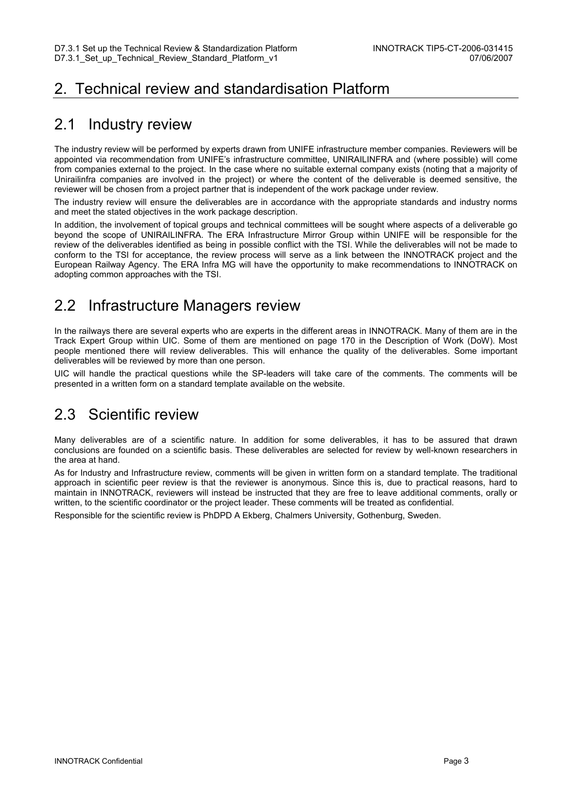### 2. Technical review and standardisation Platform

#### 2.1 Industry review

The industry review will be performed by experts drawn from UNIFE infrastructure member companies. Reviewers will be appointed via recommendation from UNIFE's infrastructure committee, UNIRAILINFRA and (where possible) will come from companies external to the project. In the case where no suitable external company exists (noting that a majority of Unirailinfra companies are involved in the project) or where the content of the deliverable is deemed sensitive, the reviewer will be chosen from a project partner that is independent of the work package under review.

The industry review will ensure the deliverables are in accordance with the appropriate standards and industry norms and meet the stated objectives in the work package description.

In addition, the involvement of topical groups and technical committees will be sought where aspects of a deliverable go beyond the scope of UNIRAILINFRA. The ERA Infrastructure Mirror Group within UNIFE will be responsible for the review of the deliverables identified as being in possible conflict with the TSI. While the deliverables will not be made to conform to the TSI for acceptance, the review process will serve as a link between the INNOTRACK project and the European Railway Agency. The ERA Infra MG will have the opportunity to make recommendations to INNOTRACK on adopting common approaches with the TSI.

### 2.2 Infrastructure Managers review

In the railways there are several experts who are experts in the different areas in INNOTRACK. Many of them are in the Track Expert Group within UIC. Some of them are mentioned on page 170 in the Description of Work (DoW). Most people mentioned there will review deliverables. This will enhance the quality of the deliverables. Some important deliverables will be reviewed by more than one person.

UIC will handle the practical questions while the SP-leaders will take care of the comments. The comments will be presented in a written form on a standard template available on the website.

### 2.3 Scientific review

Many deliverables are of a scientific nature. In addition for some deliverables, it has to be assured that drawn conclusions are founded on a scientific basis. These deliverables are selected for review by well-known researchers in the area at hand.

As for Industry and Infrastructure review, comments will be given in written form on a standard template. The traditional approach in scientific peer review is that the reviewer is anonymous. Since this is, due to practical reasons, hard to maintain in INNOTRACK, reviewers will instead be instructed that they are free to leave additional comments, orally or written, to the scientific coordinator or the project leader. These comments will be treated as confidential.

Responsible for the scientific review is PhDPD A Ekberg, Chalmers University, Gothenburg, Sweden.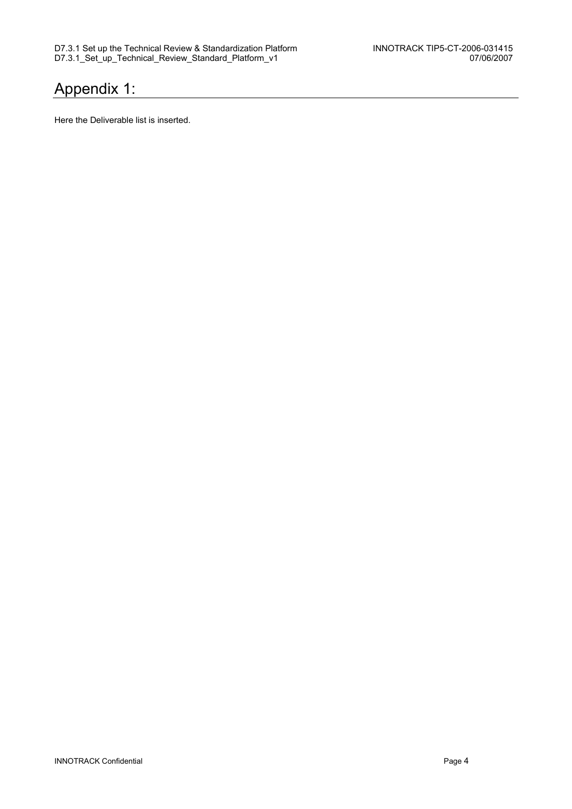### Appendix 1:

Here the Deliverable list is inserted.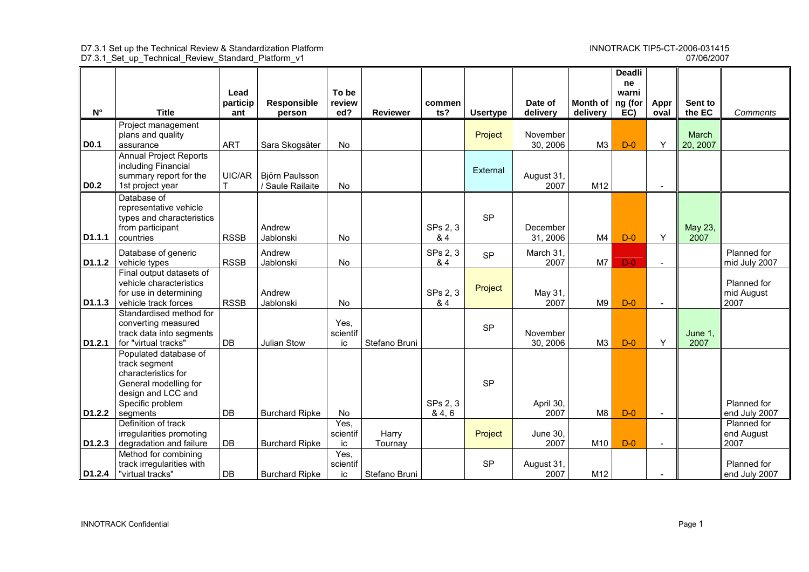#### 07/06/2007 D7.3.1\_Set\_up\_Technical\_Review\_Standard\_Platform\_v1 07/06/2007

|                    |                                                                                                                                              |                 |                                    |                        |                  |                     |                 |                      |                                  | <b>Deadli</b><br>ne |                          |                   |                                   |
|--------------------|----------------------------------------------------------------------------------------------------------------------------------------------|-----------------|------------------------------------|------------------------|------------------|---------------------|-----------------|----------------------|----------------------------------|---------------------|--------------------------|-------------------|-----------------------------------|
|                    |                                                                                                                                              | Lead            |                                    | To be                  |                  |                     |                 |                      |                                  | warni               |                          |                   |                                   |
| $N^{\circ}$        | <b>Title</b>                                                                                                                                 | particip<br>ant | Responsible<br>person              | review<br>ed?          | <b>Reviewer</b>  | commen<br>ts?       | <b>Usertype</b> | Date of<br>delivery  | Month of $ $ ng (for<br>delivery | EC)                 | Appr<br>oval             | Sent to<br>the EC | Comments                          |
|                    | Project management<br>plans and quality                                                                                                      |                 |                                    |                        |                  |                     | Project         | November             |                                  |                     |                          | March             |                                   |
| <b>D0.1</b>        | assurance                                                                                                                                    | <b>ART</b>      | Sara Skogsäter                     | No                     |                  |                     |                 | 30, 2006             | M <sub>3</sub>                   | $D-0$               | Y                        | 20, 2007          |                                   |
| <b>D0.2</b>        | <b>Annual Project Reports</b><br>including Financial<br>summary report for the<br>1st project year                                           | UIC/AR          | Björn Paulsson<br>/ Saule Railaite | <b>No</b>              |                  |                     | External        | August 31,<br>2007   | M12                              |                     | $\blacksquare$           |                   |                                   |
| D1.1.1             | Database of<br>representative vehicle<br>types and characteristics<br>from participant<br>countries                                          | <b>RSSB</b>     | Andrew<br>Jablonski                | No                     |                  | SPs 2, 3<br>& 4     | <b>SP</b>       | December<br>31, 2006 | M4                               | $D-0$               | Y                        | May 23,<br>2007   |                                   |
| D1.1.2             | Database of generic<br>vehicle types                                                                                                         | <b>RSSB</b>     | Andrew<br>Jablonski                | No                     |                  | SPs 2, 3<br>& 4     | <b>SP</b>       | March 31,<br>2007    | M7                               | $D-0$               | $\blacksquare$           |                   | Planned for<br>mid July 2007      |
| D1.1.3             | Final output datasets of<br>vehicle characteristics<br>for use in determining<br>vehicle track forces                                        | <b>RSSB</b>     | Andrew<br>Jablonski                | No                     |                  | SPs 2, 3<br>& 4     | Project         | May 31,<br>2007      | M <sub>9</sub>                   | $D-0$               | $\sim$                   |                   | Planned for<br>mid August<br>2007 |
| D1.2.1             | Standardised method for<br>converting measured<br>track data into segments<br>for "virtual tracks"                                           | DB              | Julian Stow                        | Yes,<br>scientif<br>ic | Stefano Bruni    |                     | <b>SP</b>       | November<br>30, 2006 | M <sub>3</sub>                   | $D-0$               | Y                        | June 1,<br>2007   |                                   |
| D1.2.2             | Populated database of<br>track segment<br>characteristics for<br>General modelling for<br>design and LCC and<br>Specific problem<br>segments | DB              | <b>Burchard Ripke</b>              | No                     |                  | SPs 2, 3<br>8, 4, 6 | <b>SP</b>       | April 30,<br>2007    | M8                               | $D-0$               | $\blacksquare$           |                   | Planned for<br>end July 2007      |
|                    | Definition of track                                                                                                                          |                 |                                    | Yes,                   |                  |                     |                 |                      |                                  |                     |                          |                   | Planned for                       |
| D <sub>1.2.3</sub> | irregularities promoting<br>degradation and failure                                                                                          | <b>DB</b>       | <b>Burchard Ripke</b>              | scientif<br>ic         | Harry<br>Tournay |                     | Project         | June 30.<br>2007     | M10                              | $D-0$               | $\overline{\phantom{0}}$ |                   | end August<br>2007                |
|                    | Method for combining                                                                                                                         |                 |                                    | Yes,                   |                  |                     |                 |                      |                                  |                     |                          |                   |                                   |
|                    | track irregularities with                                                                                                                    |                 |                                    | scientif               |                  |                     | <b>SP</b>       | August 31,           |                                  |                     |                          |                   | Planned for                       |
| D1.2.4             | "virtual tracks"                                                                                                                             | DB              | <b>Burchard Ripke</b>              | ic                     | Stefano Bruni    |                     |                 | 2007                 | M12                              |                     | $\blacksquare$           |                   | end July 2007                     |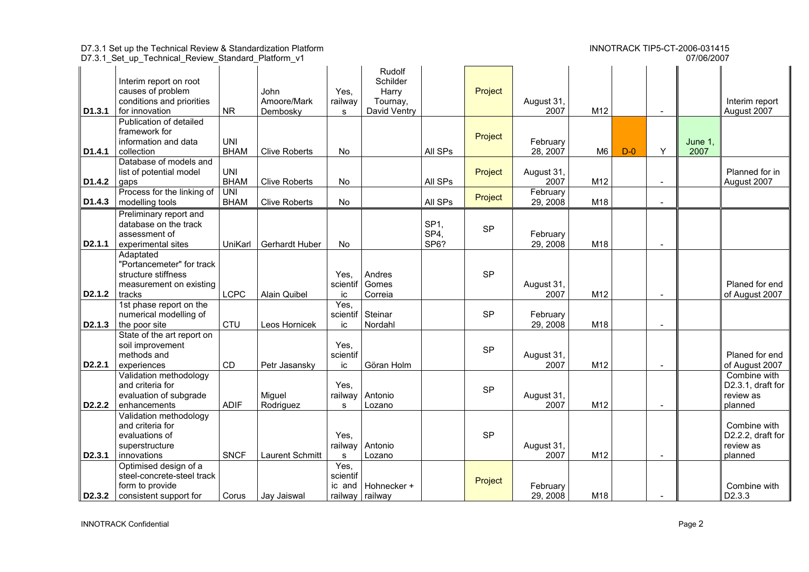D7.3.1\_Set\_up\_Technical\_Review\_Standard\_Platform\_v1 07/06/2007

| D <sub>1.3.1</sub>  | Interim report on root<br>causes of problem<br>conditions and priorities<br>for innovation                | <b>NR</b>                 | John<br>Amoore/Mark<br>Dembosky | Yes,<br>railway<br>s.                 | Rudolf<br>Schilder<br>Harry<br>Tournay,<br>David Ventry |                                 | Project   | August 31,<br>2007   | M12            |       |                          |                 | Interim report<br>August 2007                             |
|---------------------|-----------------------------------------------------------------------------------------------------------|---------------------------|---------------------------------|---------------------------------------|---------------------------------------------------------|---------------------------------|-----------|----------------------|----------------|-------|--------------------------|-----------------|-----------------------------------------------------------|
| D <sub>1.4.1</sub>  | Publication of detailed<br>framework for<br>information and data<br>collection                            | <b>UNI</b><br><b>BHAM</b> | <b>Clive Roberts</b>            | No                                    |                                                         | All SPs                         | Project   | February<br>28, 2007 | M <sub>6</sub> | $D-0$ | Y                        | June 1,<br>2007 |                                                           |
| D <sub>1.4.2</sub>  | Database of models and<br>list of potential model<br>gaps                                                 | <b>UNI</b><br><b>BHAM</b> | <b>Clive Roberts</b>            | <b>No</b>                             |                                                         | All SPs                         | Project   | August 31,<br>2007   | M12            |       |                          |                 | Planned for in<br>August 2007                             |
| D <sub>1.4.3</sub>  | Process for the linking of<br>modelling tools                                                             | UNI<br><b>BHAM</b>        | <b>Clive Roberts</b>            | No                                    |                                                         | All SPs                         | Project   | February<br>29, 2008 | M18            |       |                          |                 |                                                           |
| D <sub>2.1.1</sub>  | Preliminary report and<br>database on the track<br>assessment of<br>experimental sites                    | UniKarl                   | Gerhardt Huber                  | <b>No</b>                             |                                                         | SP <sub>1</sub><br>SP4,<br>SP6? | <b>SP</b> | February<br>29, 2008 | M18            |       | $\overline{\phantom{a}}$ |                 |                                                           |
| D2.1.2              | Adaptated<br>"Portancemeter" for track<br>structure stiffness<br>measurement on existing<br>tracks        | <b>LCPC</b>               | <b>Alain Quibel</b>             | Yes.<br>scientif<br>ic                | Andres<br>Gomes<br>Correia                              |                                 | <b>SP</b> | August 31,<br>2007   | M12            |       |                          |                 | Planed for end<br>of August 2007                          |
| D <sub>2.1.3</sub>  | 1st phase report on the<br>numerical modelling of<br>the poor site                                        | CTU                       | Leos Hornicek                   | Yes,<br>scientif<br>ic                | Steinar<br>Nordahl                                      |                                 | <b>SP</b> | February<br>29, 2008 | M18            |       |                          |                 |                                                           |
| D <sub>2</sub> .2.1 | State of the art report on<br>soil improvement<br>methods and<br>experiences                              | <b>CD</b>                 | Petr Jasansky                   | Yes,<br>scientif<br>ic                | Göran Holm                                              |                                 | <b>SP</b> | August 31,<br>2007   | M12            |       |                          |                 | Planed for end<br>of August 2007                          |
| D <sub>2</sub> .2.2 | Validation methodology<br>and criteria for<br>evaluation of subgrade<br>enhancements                      | <b>ADIF</b>               | Miguel<br>Rodriguez             | Yes,<br>railway<br>s                  | Antonio<br>Lozano                                       |                                 | <b>SP</b> | August 31,<br>2007   | M12            |       | $\overline{\phantom{a}}$ |                 | Combine with<br>D2.3.1, draft for<br>review as<br>planned |
| D <sub>2</sub> .3.1 | Validation methodology<br>and criteria for<br>evaluations of<br>superstructure<br>innovations             | <b>SNCF</b>               | Laurent Schmitt                 | Yes,<br>railway<br>s                  | Antonio<br>Lozano                                       |                                 | <b>SP</b> | August 31,<br>2007   | M12            |       | $\overline{a}$           |                 | Combine with<br>D2.2.2, draft for<br>review as<br>planned |
|                     | Optimised design of a<br>steel-concrete-steel track<br>form to provide<br>D2.3.2   consistent support for | Corus                     | Jay Jaiswal                     | Yes,<br>scientif<br>ic and<br>railway | Hohnecker +<br>railway                                  |                                 | Project   | February<br>29, 2008 | M18            |       | $\blacksquare$           |                 | Combine with<br>D <sub>2</sub> .3.3                       |

07/06/2007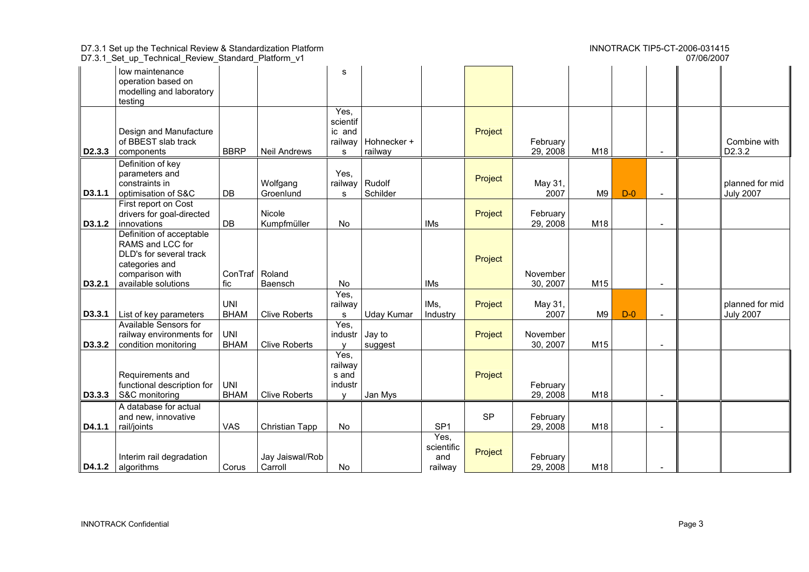| 07/06/2007<br>D7.3.1_Set_up_Technical_Review_Standard_Platform_v1 |                                                                                                                                     |                           |                            |                                                     |                                  |                                      |           |                      |     |       |                          |  |                                     |
|-------------------------------------------------------------------|-------------------------------------------------------------------------------------------------------------------------------------|---------------------------|----------------------------|-----------------------------------------------------|----------------------------------|--------------------------------------|-----------|----------------------|-----|-------|--------------------------|--|-------------------------------------|
|                                                                   | low maintenance<br>operation based on<br>modelling and laboratory<br>testing                                                        |                           |                            | s                                                   |                                  |                                      |           |                      |     |       |                          |  |                                     |
| D <sub>2</sub> .3.3                                               | Design and Manufacture<br>of BBEST slab track<br>components                                                                         | <b>BBRP</b>               | <b>Neil Andrews</b>        | Yes,<br>scientif<br>ic and<br>s                     | railway   Hohnecker +<br>railway |                                      | Project   | February<br>29, 2008 | M18 |       | $\blacksquare$           |  | Combine with<br>D2.3.2              |
| D3.1.1                                                            | Definition of key<br>parameters and<br>constraints in<br>optimisation of S&C                                                        | DB                        | Wolfgang<br>Groenlund      | Yes,<br>railway<br>s                                | Rudolf<br>Schilder               |                                      | Project   | May 31,<br>2007      | M9  | $D-0$ | $\overline{a}$           |  | planned for mid<br><b>July 2007</b> |
| D3.1.2                                                            | First report on Cost<br>drivers for goal-directed<br>innovations                                                                    | DB                        | Nicole<br>Kumpfmüller      | No                                                  |                                  | <b>IMs</b>                           | Project   | February<br>29, 2008 | M18 |       | $\overline{\phantom{a}}$ |  |                                     |
| D3.2.1                                                            | Definition of acceptable<br>RAMS and LCC for<br>DLD's for several track<br>categories and<br>comparison with<br>available solutions | ConTraf Roland<br>fic     | Baensch                    | No                                                  |                                  | IMs                                  | Project   | November<br>30, 2007 | M15 |       |                          |  |                                     |
| D3.3.1                                                            | List of key parameters                                                                                                              | <b>UNI</b><br><b>BHAM</b> | <b>Clive Roberts</b>       | Yes,<br>railway<br>s                                | <b>Uday Kumar</b>                | IMs,<br>Industry                     | Project   | May 31,<br>2007      | M9  | $D-0$ | $\blacksquare$           |  | planned for mid<br><b>July 2007</b> |
| D3.3.2                                                            | Available Sensors for<br>railway environments for<br>condition monitoring                                                           | <b>UNI</b><br><b>BHAM</b> | <b>Clive Roberts</b>       | Yes,<br>industr                                     | Jay to<br>suggest                |                                      | Project   | November<br>30, 2007 | M15 |       |                          |  |                                     |
| D3.3.3                                                            | Requirements and<br>functional description for<br>S&C monitoring                                                                    | <b>UNI</b><br><b>BHAM</b> | <b>Clive Roberts</b>       | Yes,<br>railway<br>s and<br>industr<br>$\mathbf{v}$ | Jan Mys                          |                                      | Project   | February<br>29, 2008 | M18 |       |                          |  |                                     |
| D4.1.1                                                            | A database for actual<br>and new, innovative<br>rail/joints                                                                         | <b>VAS</b>                | Christian Tapp             | No                                                  |                                  | SP <sub>1</sub>                      | <b>SP</b> | February<br>29, 2008 | M18 |       | $\blacksquare$           |  |                                     |
|                                                                   | Interim rail degradation<br>$\vert$ D4.1.2 $\vert$ algorithms                                                                       | Corus                     | Jay Jaiswal/Rob<br>Carroll | No                                                  |                                  | Yes,<br>scientific<br>and<br>railway | Project   | February<br>29, 2008 | M18 |       | $\blacksquare$           |  |                                     |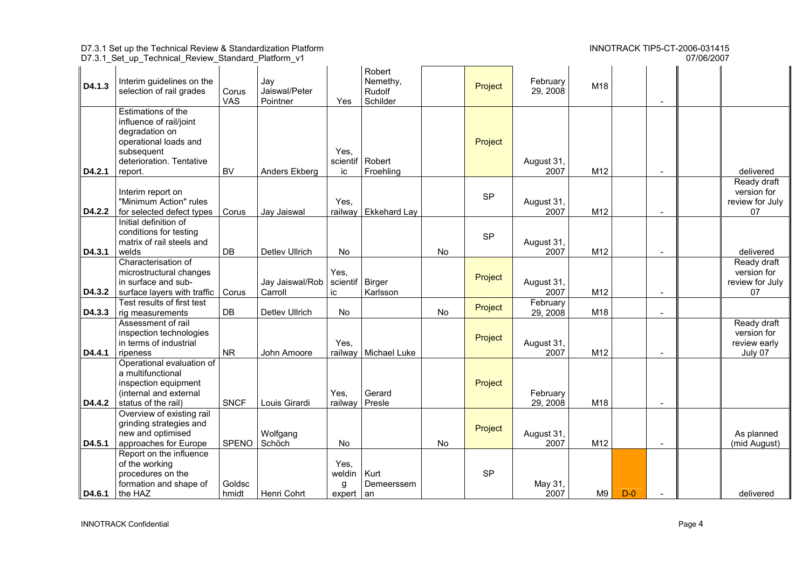07/06/2007

|        | D7.3.1_Set_up_Technical_Review_Standard_Platform_v1                                                                                           |                     |                                  |                                 |                                          |    |           |                      |                 |       |                          | 07/06/2007 |                                                       |
|--------|-----------------------------------------------------------------------------------------------------------------------------------------------|---------------------|----------------------------------|---------------------------------|------------------------------------------|----|-----------|----------------------|-----------------|-------|--------------------------|------------|-------------------------------------------------------|
| D4.1.3 | Interim guidelines on the<br>selection of rail grades                                                                                         | Corus<br><b>VAS</b> | Jay<br>Jaiswal/Peter<br>Pointner | Yes                             | Robert<br>Nemethy,<br>Rudolf<br>Schilder |    | Project   | February<br>29, 2008 | M18             |       |                          |            |                                                       |
| D4.2.1 | Estimations of the<br>influence of rail/joint<br>degradation on<br>operational loads and<br>subsequent<br>deterioration. Tentative<br>report. | <b>BV</b>           | Anders Ekberg                    | Yes.<br>scientif<br>ic          | Robert<br>Froehling                      |    | Project   | August 31,<br>2007   | M <sub>12</sub> |       | $\overline{\phantom{a}}$ |            | delivered                                             |
| D4.2.2 | Interim report on<br>"Minimum Action" rules<br>for selected defect types                                                                      | Corus               | Jay Jaiswal                      | Yes,<br>railway                 | <b>Ekkehard Lay</b>                      |    | <b>SP</b> | August 31,<br>2007   | M12             |       |                          |            | Ready draft<br>version for<br>review for July<br>07   |
| D4.3.1 | Initial definition of<br>conditions for testing<br>matrix of rail steels and<br>welds                                                         | DB                  | Detlev Ullrich                   | No                              |                                          | No | <b>SP</b> | August 31,<br>2007   | M12             |       |                          |            | delivered                                             |
| D4.3.2 | Characterisation of<br>microstructural changes<br>in surface and sub-<br>surface layers with traffic                                          | Corus               | Jay Jaiswal/Rob  <br>Carroll     | Yes,<br>scientif   Birger<br>ic | Karlsson                                 |    | Project   | August 31,<br>2007   | M12             |       |                          |            | Ready draft<br>version for<br>review for July<br>07   |
| D4.3.3 | Test results of first test<br>rig measurements                                                                                                | DB                  | Detlev Ullrich                   | <b>No</b>                       |                                          | No | Project   | February<br>29, 2008 | M18             |       |                          |            |                                                       |
| D4.4.1 | Assessment of rail<br>inspection technologies<br>in terms of industrial<br>ripeness                                                           | <b>NR</b>           | John Amoore                      | Yes,<br>railway                 | Michael Luke                             |    | Project   | August 31,<br>2007   | M12             |       |                          |            | Ready draft<br>version for<br>review early<br>July 07 |
| D4.4.2 | Operational evaluation of<br>a multifunctional<br>inspection equipment<br>(internal and external<br>status of the rail)                       | <b>SNCF</b>         | Louis Girardi                    | Yes,<br>railway                 | Gerard<br>Presle                         |    | Project   | February<br>29, 2008 | M18             |       | $\blacksquare$           |            |                                                       |
| D4.5.1 | Overview of existing rail<br>grinding strategies and<br>new and optimised<br>approaches for Europe                                            | SPENO               | Wolfgang<br>Schöch               | No                              |                                          | No | Project   | August 31,<br>2007   | M12             |       |                          |            | As planned<br>(mid August)                            |
| D4.6.1 | Report on the influence<br>of the working<br>procedures on the<br>formation and shape of<br>the HAZ                                           | Goldsc<br>hmidt     | Henri Cohrt                      | Yes,<br>weldin<br>g<br>expert   | Kurt<br>Demeerssem<br>an                 |    | <b>SP</b> | May 31,<br>2007      | M9              | $D-0$ |                          |            | delivered                                             |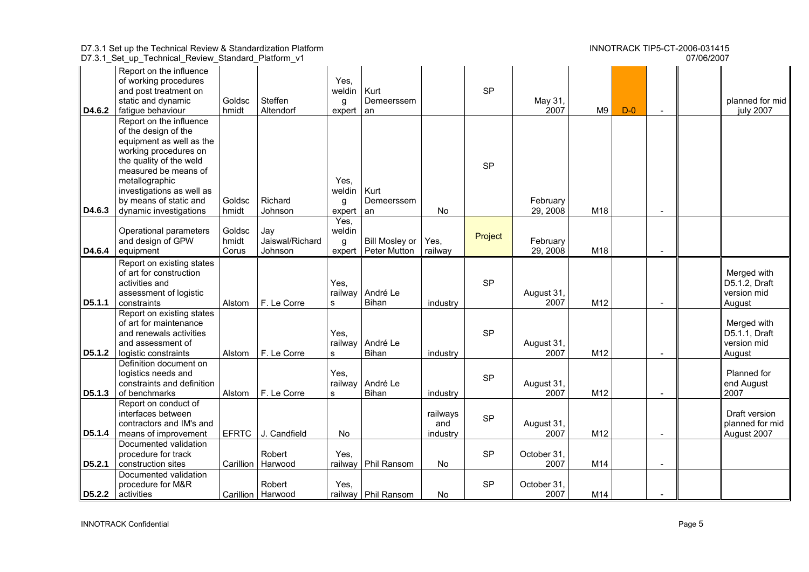|        | D7.3.1_Set_up_Technical_Review_Standard_Platform_v1                                                                                                                                                                                                        |                          |                                   |                               |                                              |                             |           |                      |     |       |                          | 07/06/2007 |                                                       |
|--------|------------------------------------------------------------------------------------------------------------------------------------------------------------------------------------------------------------------------------------------------------------|--------------------------|-----------------------------------|-------------------------------|----------------------------------------------|-----------------------------|-----------|----------------------|-----|-------|--------------------------|------------|-------------------------------------------------------|
| D4.6.2 | Report on the influence<br>of working procedures<br>and post treatment on<br>static and dynamic<br>fatigue behaviour                                                                                                                                       | Goldsc<br>hmidt          | Steffen<br>Altendorf              | Yes,<br>weldin<br>g<br>expert | Kurt<br>Demeerssem<br>an                     |                             | <b>SP</b> | May 31,<br>2007      | M9  | $D-0$ |                          |            | planned for mid<br>july 2007                          |
| D4.6.3 | Report on the influence<br>of the design of the<br>equipment as well as the<br>working procedures on<br>the quality of the weld<br>measured be means of<br>metallographic<br>investigations as well as<br>by means of static and<br>dynamic investigations | Goldsc<br>hmidt          | Richard<br>Johnson                | Yes,<br>weldin<br>g<br>expert | Kurt<br>Demeerssem<br>an                     | No                          | <b>SP</b> | February<br>29, 2008 | M18 |       |                          |            |                                                       |
| D4.6.4 | Operational parameters<br>and design of GPW<br>equipment                                                                                                                                                                                                   | Goldsc<br>hmidt<br>Corus | Jay<br>Jaiswal/Richard<br>Johnson | Yes,<br>weldin<br>g<br>expert | <b>Bill Mosley or</b><br><b>Peter Mutton</b> | Yes,<br>railway             | Project   | February<br>29, 2008 | M18 |       |                          |            |                                                       |
| D5.1.1 | Report on existing states<br>of art for construction<br>activities and<br>assessment of logistic<br>constraints                                                                                                                                            | Alstom                   | F. Le Corre                       | Yes,<br>railway<br>s          | André Le<br>Bihan                            | industry                    | <b>SP</b> | August 31,<br>2007   | M12 |       | $\sim$                   |            | Merged with<br>D5.1.2, Draft<br>version mid<br>August |
| D5.1.2 | Report on existing states<br>of art for maintenance<br>and renewals activities<br>and assessment of<br>logistic constraints                                                                                                                                | Alstom                   | F. Le Corre                       | Yes,<br>railway<br>s          | André Le<br>Bihan                            | industry                    | <b>SP</b> | August 31,<br>2007   | M12 |       |                          |            | Merged with<br>D5.1.1, Draft<br>version mid<br>August |
| D5.1.3 | Definition document on<br>logistics needs and<br>constraints and definition<br>of benchmarks                                                                                                                                                               | Alstom                   | F. Le Corre                       | Yes,<br>railway<br>s          | André Le<br>Bihan                            | industry                    | <b>SP</b> | August 31,<br>2007   | M12 |       |                          |            | Planned for<br>end August<br>2007                     |
| D5.1.4 | Report on conduct of<br>interfaces between<br>contractors and IM's and<br>means of improvement                                                                                                                                                             |                          | EFRTC J. Candfield                | No                            |                                              | railways<br>and<br>industry | <b>SP</b> | August 31,<br>2007   | M12 |       | $\overline{\phantom{a}}$ |            | Draft version<br>planned for mid<br>August 2007       |
| D5.2.1 | Documented validation<br>procedure for track<br>construction sites                                                                                                                                                                                         |                          | Robert<br>Carillion   Harwood     | Yes,<br>railway               | Phil Ransom                                  | No                          | <b>SP</b> | October 31.<br>2007  | M14 |       | $\sim$                   |            |                                                       |
|        | Documented validation<br>procedure for M&R<br>D5.2.2 activities                                                                                                                                                                                            |                          | Robert<br>Carillion   Harwood     | Yes,                          | railway   Phil Ransom                        | No                          | <b>SP</b> | October 31,<br>2007  | M14 |       | $\blacksquare$           |            |                                                       |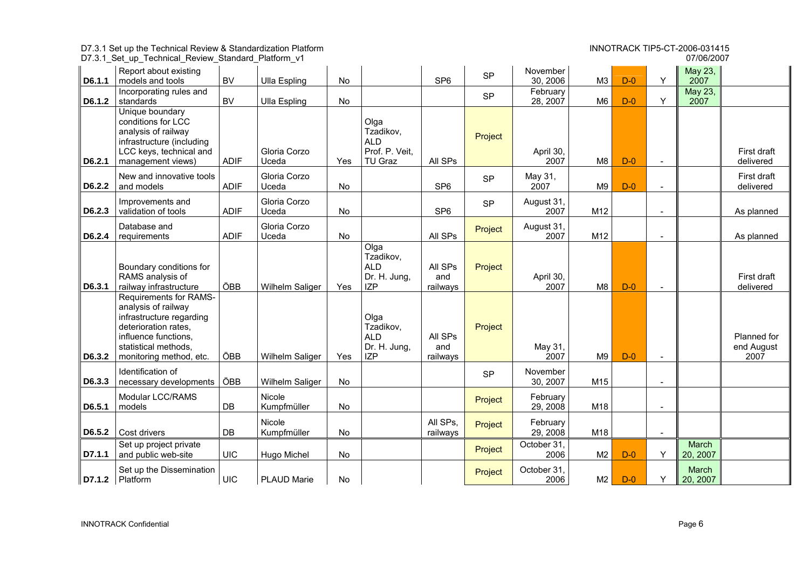|        | D7.3.1 Set up the Technical Review & Standardization Platform<br>D7.3.1_Set_up_Technical_Review_Standard_Platform_v1                                                                |                        |                       |           |                                                               | INNOTRACK TIP5-CT-2006-031415<br>07/06/2007 |           |                      |                |       |                |                   |                                   |
|--------|-------------------------------------------------------------------------------------------------------------------------------------------------------------------------------------|------------------------|-----------------------|-----------|---------------------------------------------------------------|---------------------------------------------|-----------|----------------------|----------------|-------|----------------|-------------------|-----------------------------------|
| D6.1.1 | Report about existing<br>models and tools                                                                                                                                           | <b>BV</b>              | <b>Ulla Espling</b>   | No        |                                                               | SP <sub>6</sub>                             | <b>SP</b> | November<br>30, 2006 | M3             | $D-0$ | Y              | May 23,<br>2007   |                                   |
| D6.1.2 | Incorporating rules and<br>standards                                                                                                                                                | <b>BV</b>              | <b>Ulla Espling</b>   | No        |                                                               |                                             | <b>SP</b> | February<br>28, 2007 | M6             | $D-0$ | Y              | May 23,<br>2007   |                                   |
| D6.2.1 | Unique boundary<br>conditions for LCC<br>analysis of railway<br>infrastructure (including<br>LCC keys, technical and<br>management views)                                           | <b>ADIF</b>            | Gloria Corzo<br>Uceda | Yes       | Olga<br>Tzadikov,<br><b>ALD</b><br>Prof. P. Veit.<br>TU Graz  | All SPs                                     | Project   | April 30,<br>2007    | M8             | $D-0$ | $\sim$         |                   | First draft<br>delivered          |
| D6.2.2 | New and innovative tools<br>and models                                                                                                                                              | <b>ADIF</b>            | Gloria Corzo<br>Uceda | No        |                                                               | SP <sub>6</sub>                             | <b>SP</b> | May 31,<br>2007      | M9             | $D-0$ |                |                   | First draft<br>delivered          |
| D6.2.3 | Improvements and<br>validation of tools                                                                                                                                             | <b>ADIF</b>            | Gloria Corzo<br>Uceda | <b>No</b> |                                                               | SP <sub>6</sub>                             | <b>SP</b> | August 31<br>2007    | M12            |       |                |                   | As planned                        |
| D6.2.4 | Database and<br>requirements                                                                                                                                                        | <b>ADIF</b>            | Gloria Corzo<br>Uceda | No        |                                                               | All SPs                                     | Project   | August 31<br>2007    | M12            |       | $\blacksquare$ |                   | As planned                        |
| D6.3.1 | Boundary conditions for<br>RAMS analysis of<br>railway infrastructure                                                                                                               | ÖBB                    | Wilhelm Saliger       | Yes       | Olga<br>Tzadikov,<br><b>ALD</b><br>Dr. H. Jung,<br><b>IZP</b> | All SPs<br>and<br>railways                  | Project   | April 30,<br>2007    | M8             | $D-0$ |                |                   | First draft<br>delivered          |
| D6.3.2 | <b>Requirements for RAMS-</b><br>analysis of railway<br>infrastructure regarding<br>deterioration rates,<br>influence functions,<br>statistical methods,<br>monitoring method, etc. | ÖBB                    | Wilhelm Saliger       | Yes       | Olga<br>Tzadikov,<br><b>ALD</b><br>Dr. H. Jung,<br><b>IZP</b> | All SPs<br>and<br>railways                  | Project   | May 31,<br>2007      | M <sub>9</sub> | $D-0$ |                |                   | Planned for<br>end August<br>2007 |
| D6.3.3 | Identification of<br>necessary developments                                                                                                                                         | ÖBB                    | Wilhelm Saliger       | No        |                                                               |                                             | <b>SP</b> | November<br>30, 2007 | M15            |       |                |                   |                                   |
| D6.5.1 | Modular LCC/RAMS<br>models                                                                                                                                                          | $\mathsf{D}\mathsf{B}$ | Nicole<br>Kumpfmüller | No        |                                                               |                                             | Project   | February<br>29, 2008 | M18            |       |                |                   |                                   |
| D6.5.2 | Cost drivers                                                                                                                                                                        | DB                     | Nicole<br>Kumpfmüller | No        |                                                               | All SPs,<br>railways                        | Project   | February<br>29, 2008 | M18            |       |                |                   |                                   |
| D7.1.1 | Set up project private<br>and public web-site                                                                                                                                       | <b>UIC</b>             | Hugo Michel           | No        |                                                               |                                             | Project   | October 31,<br>2006  | M2             | $D-0$ | Y              | March<br>20, 2007 |                                   |
|        | Set up the Dissemination<br>$D7.1.2$ Platform                                                                                                                                       | <b>UIC</b>             | <b>PLAUD Marie</b>    | No        |                                                               |                                             | Project   | October 31,<br>2006  | M2             | $D-0$ | Y              | March<br>20, 2007 |                                   |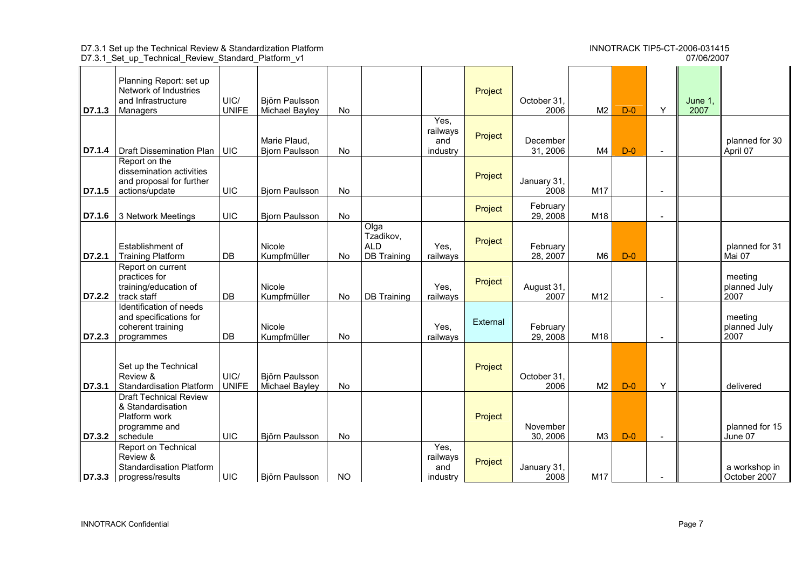07/06/2007

|  | D7.3.1 Set up Technical Review Standard Platform v1 | 07/06/2007 |
|--|-----------------------------------------------------|------------|
|  |                                                     |            |

|        | Planning Report: set up                                                                          |                      |                                       |           |                                                       |                                     |          |                      |                |       |                          |                 |                                 |
|--------|--------------------------------------------------------------------------------------------------|----------------------|---------------------------------------|-----------|-------------------------------------------------------|-------------------------------------|----------|----------------------|----------------|-------|--------------------------|-----------------|---------------------------------|
|        | Network of Industries                                                                            |                      |                                       |           |                                                       |                                     | Project  |                      |                |       |                          |                 |                                 |
| D7.1.3 | and Infrastructure<br>Managers                                                                   | UIC/<br><b>UNIFE</b> | Björn Paulsson<br>Michael Bayley      | No        |                                                       |                                     |          | October 31<br>2006   | M <sub>2</sub> | $D-0$ | Y                        | June 1.<br>2007 |                                 |
|        |                                                                                                  |                      |                                       |           |                                                       | Yes.<br>railways                    |          |                      |                |       |                          |                 |                                 |
| D7.1.4 | Draft Dissemination Plan                                                                         | <b>UIC</b>           | Marie Plaud.<br><b>Bjorn Paulsson</b> | <b>No</b> |                                                       | and<br>industry                     | Project  | December<br>31, 2006 | M4             | $D-0$ | $\overline{\phantom{a}}$ |                 | planned for 30<br>April 07      |
| D7.1.5 | Report on the<br>dissemination activities<br>and proposal for further<br>actions/update          | <b>UIC</b>           | <b>Bjorn Paulsson</b>                 | <b>No</b> |                                                       |                                     | Project  | January 31,<br>2008  | M17            |       | $\overline{\phantom{a}}$ |                 |                                 |
| D7.1.6 | 3 Network Meetings                                                                               | <b>UIC</b>           | <b>Bjorn Paulsson</b>                 | <b>No</b> |                                                       |                                     | Project  | February<br>29, 2008 | M18            |       | $\sim$                   |                 |                                 |
| D7.2.1 | Establishment of<br><b>Training Platform</b>                                                     | DB                   | Nicole<br>Kumpfmüller                 | No        | Olga<br>Tzadikov,<br><b>ALD</b><br><b>DB</b> Training | Yes,<br>railways                    | Project  | February<br>28, 2007 | M <sub>6</sub> | $D-0$ |                          |                 | planned for 31<br>Mai 07        |
| D7.2.2 | Report on current<br>practices for<br>training/education of<br>track staff                       | DB                   | Nicole<br>Kumpfmüller                 | No        | <b>DB</b> Training                                    | Yes,<br>railways                    | Project  | August 31,<br>2007   | M12            |       | $\sim$                   |                 | meeting<br>planned July<br>2007 |
| D7.2.3 | Identification of needs<br>and specifications for<br>coherent training<br>programmes             | DB                   | Nicole<br>Kumpfmüller                 | No        |                                                       | Yes,<br>railways                    | External | February<br>29, 2008 | M18            |       | $\sim$                   |                 | meeting<br>planned July<br>2007 |
| D7.3.1 | Set up the Technical<br>Review &<br><b>Standardisation Platform</b>                              | UIC/<br><b>UNIFE</b> | Björn Paulsson<br>Michael Bayley      | No        |                                                       |                                     | Project  | October 31<br>2006   | M <sub>2</sub> | $D-0$ | Υ                        |                 | delivered                       |
| D7.3.2 | <b>Draft Technical Review</b><br>& Standardisation<br>Platform work<br>programme and<br>schedule | UIC                  | Björn Paulsson                        | No        |                                                       |                                     | Project  | November<br>30, 2006 | M3             | $D-0$ | $\sim$                   |                 | planned for 15<br>June 07       |
|        | Report on Technical<br>Review &<br><b>Standardisation Platform</b><br>D7.3.3   progress/results  | <b>UIC</b>           | Björn Paulsson                        | <b>NO</b> |                                                       | Yes,<br>railways<br>and<br>industry | Project  | January 31,<br>2008  | M17            |       | $\overline{\phantom{a}}$ |                 | a workshop in<br>October 2007   |